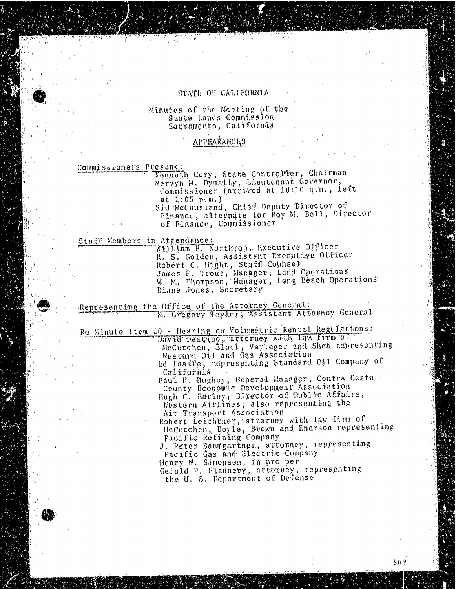### STATE OF CALIFORNIA

### Minutes of the Meeting of the State Lands Commission Sacramento, California

#### APPEARANCES

Commissioners Present:

Kenneth Cory, State Controller, Chairman Mervyn M. Dymally, Lieutenant Governor, Commissioner (arrived at 10:10 a.m., left<br>at 1:05 p.m.)

Sid McCausland, Chief Deputy Director of Sid McCausland, Chief Deputy Director Finance, alternate for Roy M. Bell, Director of Finance, Commissioner

Staff Members in Attendance:

William H. Northrop, Executive Officer R. S. Golden, Assistant Executive Officer Robert C. Hight, Staff Counsel James F. Trout, Manager, Land Operations W. M. Thompson, Manager, Long Beach Operations

Representing the Office of the Attorney General: Representing the Office of the Attorney General

Re Minute Item 40 - Hearing on Volumetric Rental Regulations: David Destino; attorney with law firm of Mccutchen, Black; Verleger and Shea representing Western Oil and Gas Association Ed Faaffe, representing Standard Oil Company of

California Paul. F. Hughey, General Manager, Contra Costa County Heonomic Development' Association

Hugh C. Earley, Director of Public Affairs, Western Airlines; also representing the<br>Air Transport Association

Robert Leichtner, attorney with law firm of Robert Leichtner, attorney with McCutchen, Doyle, Brown and Enerson represent Pacific Refining Company

J. Peter Baumgartner, attorney, representing

Pacific Gas and Electric Company

Henry W. Simonsen, in pro per

Gerald P. Flannery, attorney, representing the U. S. Department of Defense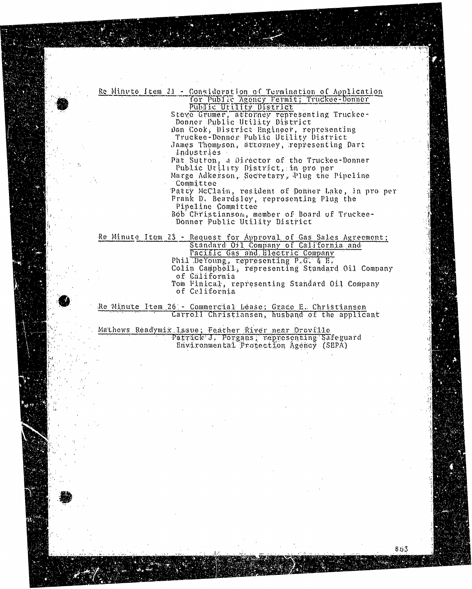## Re Minute Item 21 - Consideration of Turmination of Application Re Public Agency Fermit; Truckee-Donner<br>Public Utility District

Steve Grumer, attorney representing Truckee-<br>Donner Public Utility District

Dan Cook, District Hnginger, representing Prugkee-Donner Publ

James Thompson, attorney, representing Dart Industries

Pat Sutton, a Director of the Truckee-Donner Public Utility District, in pro per

Marge Adkerson, Secretary, Plug the Pipeline Committee

Patty McClain, resident of Donner Lake, in pro per Frank D. Beardsley, reprosenting Plug the

Pipeline Committee

Bob Christianson, member of Board of Truckee-Donner Public Utility District Bob Christianson, member of Board of Truckee-

n 23 - Request for Appro Pacific Gas and Bleetric Company Phil DeYoung, representing P.G. & E.

Colin Gampbell, representing Standard Oil Company of California

Tom Finical, representing Standard Oil Company of California Tom Finical, representing Standard Oil Company

Re Minute Item 26 - Commercial Léase; Grace E. Christiansen Carroll Christiansen, husband of the applicant

Environmental Protection Agency (SEPA)

Mathews Readymix Issue; Feather River near Orovillo Patrick J, Porgans; representing Safeguard<br>Environmental Protection Agency (SEPA)

ديوم.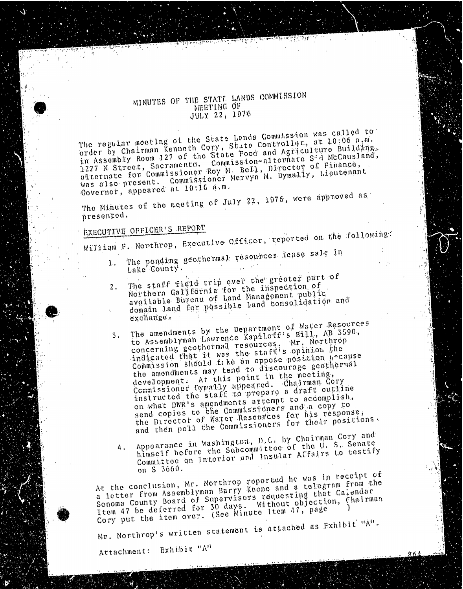## MINUTES OF THE STATE LANDS COMMESSION JULY 22, 1976

The regular meeting of the State Londs Commission was called to in Assembly Room 127 of the State Food and Agriculture Building, 1227 N Street, Sacramento. Commission-alternate S<sup>2</sup>d McCausland, 1227 N. Street, Sacramento. Roy M. Bell, Director V. Lieutena alternate for Commissioner Mervyn M. Dymast was also present.  $\frac{10!10}{10!10}$ ,  $\frac{1}{10}$ , M.

 $Gover$  and  $T$ , appeared at  $10$ The Minutes of the meeting of July 22, 1976, were approved as  $\frac{1}{2}$ 

# presented.<br>EXECUTIVE OFFICER'S REPORT

EXECUTIVE OFFICERS William F. Northrop, Executive Officer, reported on the following:  $\ln$ 

- 1. The pending geothermal resources lease sale in
	- Lake County.<br>The staff field trip over the greater part of 2. The staff tield trip over the shoction of Northern Galifôrnia for the inspection of avaitable Bureau of Land Management public available bureau ossible land consol domaan aanse exportation possible land consolidation and consolidation and consolidation and consolidation and
	- exchange.<br>The amendments by the Department of Water Resources 3. The amendments by the Department of Water Resources. concerning geothermal resources. Mr. Northrop indicated that it was the staff's opinion the Commission should take an oppose position pecause the amendments may tend to discourage geothermal the amendments may tempoint in the meeting development.  $\Lambda$   $\Lambda$  appeared.  $\Lambda$ instructed the staff to prepare a draft outline on what DWR's amondments arrempt to accomplish, send copies to the Commissioners and a copy to send copies to the Commissioners for has the Director of Watermalssioners for the
		- Appearance in Washington, D.C. by Chairman Cory and 4. Appearance in washington, Pitte of the U.S. Senate himself before the subcommittee and Insular Aldairs  $\text{Count}$   $\text{if}$   $\text{for}$   $\text{in}$   $\text{in}$   $\text{in}$   $\text{in}$   $\text{in}$   $\text{in}$   $\text{in}$   $\text{in}$   $\text{in}$   $\text{in}$   $\text{in}$   $\text{in}$   $\text{in}$   $\text{in}$   $\text{in}$   $\text{in}$   $\text{in}$   $\text{in}$   $\text{in}$   $\text{in}$   $\text{in}$   $\text{in}$   $\text{in}$   $\text{in}$   $\text{in$

on S 3660.<br>At the conclusion, Mr. Northrop reported he was in receipt of At the conclusion, Mr. North Rarry Keene and a ceregian reported to the was in report of that  $\hat{a}$ . a letter from Assemblyman Barry Sors requesting that with Sonoma County Board of Supervisors requesting that Calendar<br>Item 47 be deferred for 30 days. Without objection, Chairma<br>Cory put the item over. (See Minute Item 47, page Itom 47 be deferred for 30 days. Without objection, Chairman

Cory put the item over. (See Minute Item 17, page

 $M_{\rm F}$ . Northrop's written statement is attached as  $M_{\rm F}$ .

Attachment: Exhibit "A"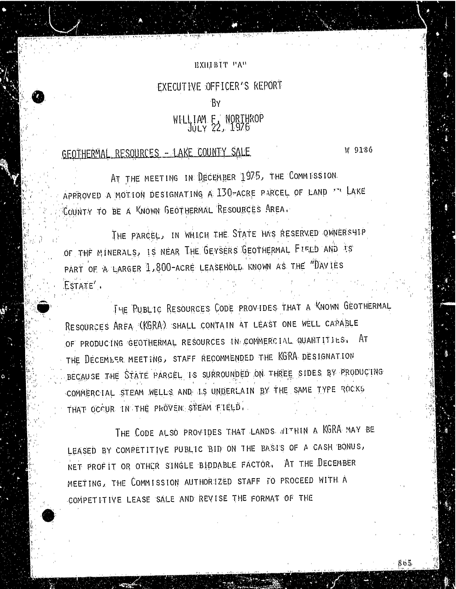### EXHIBIT PA"

## EXECUTIVE OFFICER'S REPORT

### .BY

## WILLIAM F. NORTHROP

## GEOTHERMAL RESOURCES - LAKE COUNTY SALE.

W 9186

86.5

AT THE MEETING IN DECEMBER 1975, THE COMMISSION. APPROVED A MOTION DESIGNATING A 130-ACRE PARCEL OF LAND THE LAKE COUNTY TO BE A KNOWN GEOTHERMAL RESOURCES AREA.

THE PARCEL, IN WHICH THE STATE HAS RESERVED OWNERSHIP OF THE MINERALS, IS NEAR THE GEYSERS GEOTHERMAL FIELD AND TS PART OF A LARGER 1,800-ACRE LEASEHOLD. KNOWN AS THE "DAYIES ESTATE'.

THE PUBLIC RESOURCES CODE PROVIDES THAT A KNOWN GEOTHERMAL RESOURCES AREA (KGRA). SHALL CONTAIN AT LEAST ONE WELL CARABLE OF PRODUCING GEOTHERMAL RESOURCES IN: COMMERCIAL QUANTITIES, AT THE DECEMBER. MEETING, STAFF RECOMMENDED THE KGRA DESIGNATION BECAUSE THE STATE PARCEL IS SURROUNDED ON THREE SIDES BY PRODUCING COMMERCIAL STEAM WELLS AND IS UNDERLAIN BY THE SAME TYPE ROCKS THAT OCCUR IN THE PROVEN: STEAM FIELD. .

THE CODE ALSO PROVIDES THAT LANDS ATTHIN A KGRA MAY BE LEASED BY COMPETITIVE PUBLIC BID ON THE BASI'S OF A CASH BONUS, NET PROFIT OR OTHER SINGLE BIDDABLE FACTOR. AT THE DECEMBER MEETING, THE COMMISSION AUTHORIZED STAFF TO PROCEED WITH A COMPETITIVE LEASE SALE AND REVISE THE FORMAT OF THE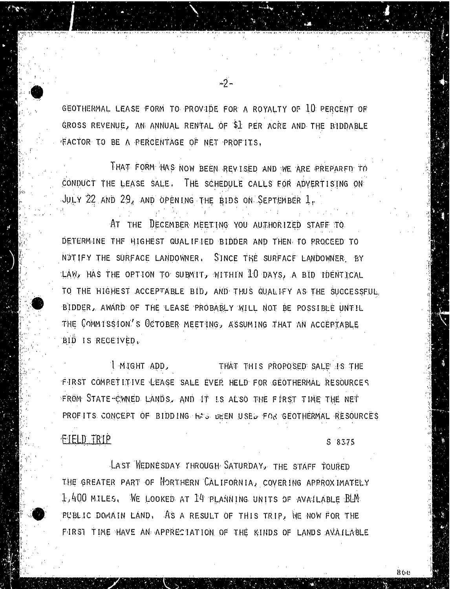GEOTHERMAL. LEASE FORM TO PROVIDE FOR A ROYALTY OF 10 PERCENT OF GROSS REVENUE, AN ANNUAL RENTAL OF \$1 PER ACRE AND THE BIDDABLE .FACTOR. TO BE A PERCENTAGE OF NET PROFITS.

-2-

THAT FORM HAS NOW BEEN REVISED AND WE ARE PREPARED TO CONDUCT THE LEASE SALE. THE SCHEDULE CALLS FOR ADVERTISING ON: JULY 22 AND 29, AND OPENING THE BIDS ON SEPTEMBER  $1<sub>r</sub>$ 

AT THE DECEMBER MEETING YOU AUTHORIZED STAFF TO DETERMINE THE HIGHEST QUALIFIED BIDDER AND THEN. TO PROCEED TO NOTIFY THE SURFACE LANDOWNER. SINCE THE SURFACE LANDOWNER. BY LAW, HAS THE OPTION TO SUBMIT, WITHIN 10 DAYS, A BID IDENTICAL TO THE HIGHEST ACCEPTABLE BID, AND THUS QUALIFY AS THE SUCCESSFUL BIDDER, AWARD OF THE LEASE PROBABLY WILL NOT BE POSSIBLE UNTIL THE COMMISSION'S OCTOBER MEETING, ASSUMING THAT AN ACCEPTABLE BID IS RECEIVED .

! MIGHT ADD, THAT THIS PROPOSED SALE IS THE FIRST COMPETITIVE LEASE SALE EVER HELD FOR GEOTHERMAL RESOURCES FROM STATE CWNED LANDS, AND IT IS ALSO THE FIRST TIME THE NET PROFITS CONCEPT OF BIDDING HAS BEEN USED FOR GEOTHERMAL RESOURCES

### FIELD TRIP S 83.75

LAST WEDNESDAY THROUGH SATURDAY, THE STAFF TOURED THE GREATER PART OF NORTHERN CALIFORNIA, COVERING APPROXIMATELY 1,400 MILES. WE LOOKED AT 14 PLANNING UNITS OF AVAILABLE BLM PUBLIC DOMAIN LAND. AS A RESULT OF THIS TRIP, WE NOW FOR THE FIRST TIME HAVE AN APPRECIATION OF THE KINDS OF LANDS AVAILABLE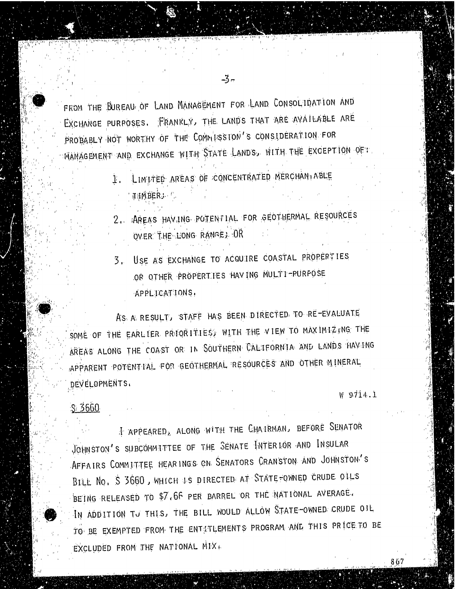FROM THE BUREAU OF LAND MANAGEMENT FOR LAND CONSOLIDATION AND EXCHANGE PURPOSES. FRANKLY, THE LANDS THAT ARE AVAILABLE ARE<br>PROBABLY NOT WORTHY OF THE COMMISSION'S CONSIDERATION FOR PROBABLY NOT WORTHY OF THE COMMISSION'S CONSIDERATION FOR MANAGEMENT AND EXCHANGE WITH STATE LANDS, WITH STATE LANDS, WITH STATE LANDS, WITH THE EXCEPTION OF THE EXCEPT

1. LIMITED AREAS OF CONCENTRATED MERCHANT ABLE

THMBERI".

2.. AREAS HAVING. POTENTIAL. FOR GEOTHERMAL RESOURCES OVER THE LONG RANGE; OR

3. USE AS EXCHANGE TO ACQUIRE COASTAL PROPERTIES OR OTHER PROPERTIES HAVING MULTI-PURPOSE APPLICATIONS,

AS A RESULT, STAFF HAS BEEN DIRECTED. TO RE-EVALUATE SOME OF THE EARLIER PRIORITIES, WITH THE VIEW TO MAXIMIZING THE AREAS ALONG THE COAST OR IN SOUTHERN CALIFORNIA AND LANDS HAVING APPARENT POTENTIAL. FOR GEOTHERMAL RESOURCES AND OTHER MINERAL DEVELOPMENTS.

\$ 3660

W 9714.1

 $99$ 

I APPEARED, ALONG WITH THE CHAIRMAN, BEFORE SENATOR JOHNSTON'S SUBCOMMITTEE OF THE SENATE INTERIOR AND INSULAR AFFAIRS COMMITTEE HEARINGS ON. SENATORS CRANSTON AND JOHNSTON'S BILL NO. S 3660, WHICH IS DIRECTED AT STATE FOWNED CRUDE OILS BEING RELEASED TO \$7,66 PER BARREL OR THE NATIONAL AVERAGE. IN ADDITION TO THIS, THE BILL WOULD ALLOW STATE-OWNED CRUDE OIL, TO BE EXEMPTED FROM THE ENTETLEMENTS PROGRAM AND THIS PRICE TO BE EXCLUDED FROM THE NATIONAL MIX

-3-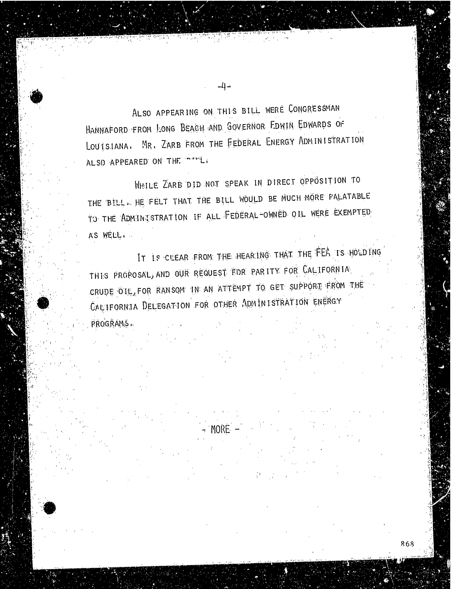ALSO APPEARING ON THIS BILL WERE CONGRESSMAN<br>HANNAFORD FROM LONG BEACH AND GOVERNOR EDWIN EDWARDS OF HANNAFORD FROM LONG BEACH AND GOVERNOR EDWIN EDWIN EDWIN EDWIN EDWIN EDWIN EDWIN EDWIN EDWIN EDWIN EDWIN EDWIN LOUISIANA. MR. ZARB FROM THE FEDERAL ENERGY ADMINISTRATION ALSO APPEARED ON THE INTIME

WHILE ZARB DID NOT SPEAK IN DIRECT OPPOSITION TO THE BILL. HE FELT THAT THE BILL WOULD BE MUCH MORE PALATABLE TO THE ADMINISTRATION IF ALL FEDERAL-OWNED OIL WERE EXEMPTED A'S WELL. .

IT IS CLEAR FROM THE HEARING THAT THE FEA IS HOLDING THIS PROPOSAL, AND OUR REQUEST FOR PARITY FOR CALIFORNIA CRUDE OIL, FOR RANSOM IN AN ATTEMPT TO GET SUPPORT FROM THE CALIFORNIA DELEGATION FOR OTHER ADMINISTRATION ENERGY PROGRAMS ..

 $\sim$  Fiund  $^{\circ}$ 

868

ت إ...

सम्बद्धाः<br>सन्दर्भव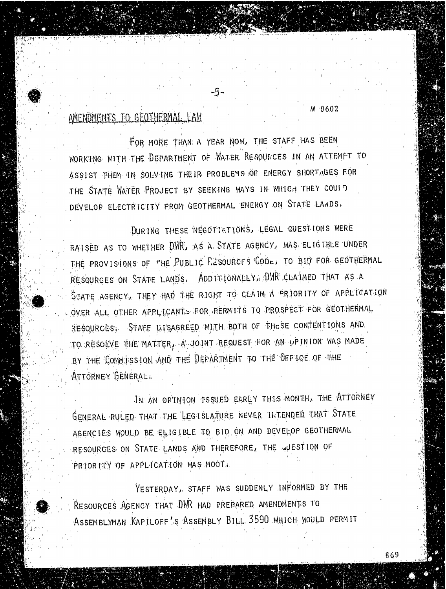## AMENDMENTS TO GEOTHERMAL LAW

W 9602

FOR MORE THAN; A YEAR NOW, THE STAFF HAS BEEN WORKING WITH THE DEPARTMENT OF WATER RESOURCES IN AN ATTEMPT TO ASSIST THEM IN SOLV ING THEIR PROBLEMS OF ENERGY SHORTAGES FOR THE STATE WATER PROJECT BY SEEKING WAYS IN WHICH THEY COULD DEVELOP ELECTRICITY FROM GEOTHERMAL ENERGY ON STATE LANDS,

DURING THESE NEGOTIATIONS, LEGAL QUESTIONS WERE RAISED AS TO WHETHER DWR, AS A. STATE AGENCY, WAS ELIGIBLE UNDER THE PROVISIONS OF THE PUBLIC RESOURCES CODE, TO BID FOR GEOTHERMAL RESOURCES ON STATE LANDS. ADDITIONALLY, DWR CLAIMED THAT AS A STATE AGENCY, THEY HAD THE RIGHT TO CLAIM A PRIORITY OF APPLICATION OVER ALL OTHER APPLICANTS FOR PERMITS TO PROSPECT FOR GEOTHERMAL RESOURCES, STAFF DISAGREED WITH BOTH OF THESE CONTENTIONS AND TO RESOLVE THE MATTER, A JOINT REQUEST FOR AN OPINION WAS MADE BY THE COMMISSION AND THE DEPARTMENT TO THE OFFICE OF THE ATTORNEY GENERAL..

IN AN OPINION. ISSUED EARLY THIS MONTH,. THE ATTORNEY GENERAL RULED. THAT THE LEGISLATURE NEVER INTENDED THAT STATE AGENCIES WOULD BE ELIGIBLE TO BID ON AND DEVELOP GEOTHERMAL RESOURCES. ON STATE LANDS AND THEREFORE, THE WUESTION OF PRIORITY OF APPLICATION WAS MOOT.

YESTERDAY, STAFF WAS SUDDENLY INFORMED BY THE RESOURCES AGENCY THAT DWR HAD PREPARED AMENDMENTS TO ASSEMBLYMAN KAPILOFF'S ASSEMBLY BILL 3590 WHICH WOULD PERMIT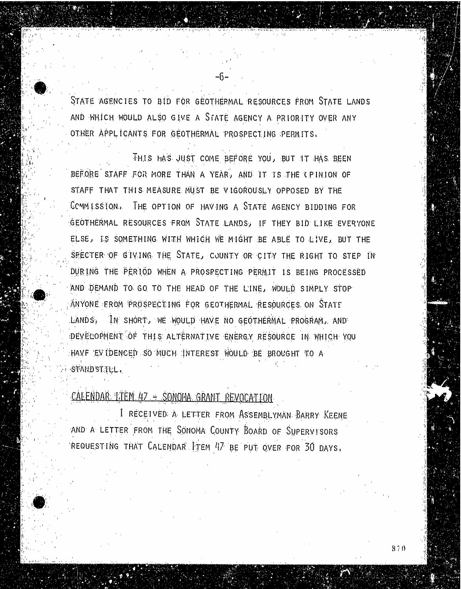STATE AGENCIES TO BID FOR GEOTHERMAL RESOURCES FROM STATE LANDS AND WHICH WOULD ALSO GIVE A STATE AGENCY A PRIORITY OVER ANY OTHER APPLICANTS FOR GEOTHERMAL PROSPECTING PERMITS.

~0

THIS HAS JUST COME BEFORE YOU, BUT IT HAS BEEN BEFORE STAFF FOR MORE THAN A YEAR, AND IT IS THE CPINION OF STAFF THAT THIS MEASURE MUST BE VIGOROUSLY OPPOSED BY THE COMMISSION. THE OPTION OF HAVING A STATE AGENCY BIDDING FOR GEOTHERMAL RESOURCES FROM STATE LANDS, IF THEY BID LIKE EVERYONE ELSE, IS SOMETHING WITH WHICH WE MIGHT BE ABLE TO LIVE, BUT THE SPECTER OF GIVING THE STATE, COUNTY OR CITY THE RIGHT TO STEP IN DURING THE PERIOD WHEN A PROSPECTING PERMIT IS BEING PROCESSED AND DEMAND TO GO TO THE HEAD OF THE LINE, WOULD SIMPLY STOP ANYONE EROM PROSPECTING FOR GEOTHERMAL RESOURCES ON STATE LANDS, IN SHORT, WE WOULD HAVE NO GEOTHERMAL PROGRAM,, AND DEVELOPMENT OF THIS ALTERNATIVE ENERGY RESOURCE IN WHICH YOU HAVE EVIDENCED SO MUCH INTEREST WOULD BE BROUGHT TO A STAND STILL..

## CALENDAR: LIEM 47 - SONOMA GRANT REVOCATION

I RECEIVED A LETTER FROM ASSEMBLYMAN. BARRY KEENE AND A LETTER FROM THE SONOMA COUNTY BOARD OF SUPERVISORS REQUESTING THAT CALENDAR ITEM 417 BE PUT OVER FOR 30 DAYS,

870